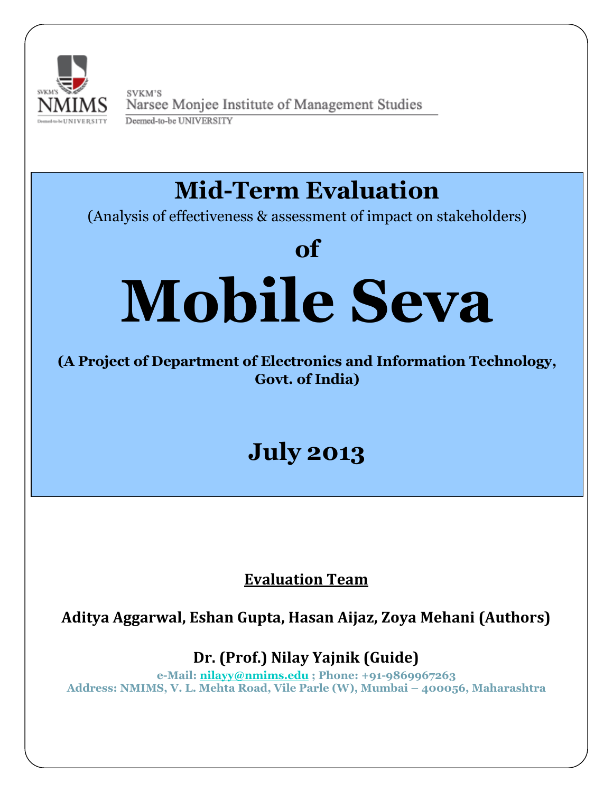

SVKM'S Narsee Monjee Institute of Management Studies Deemed-to-be UNIVERSITY

# **Mid-Term Evaluation**

(Analysis of effectiveness & assessment of impact on stakeholders)

# **of Mobile Seva**

### **(A Project of Department of Electronics and Information Technology, Govt. of India)**

## **July 2013**

### **Evaluation Team**

**Aditya Aggarwal, Eshan Gupta, Hasan Aijaz, Zoya Mehani (Authors)**

**Dr. (Prof.) Nilay Yajnik (Guide)**

**e-Mail: [nilayy@nmims.edu](mailto:nilayy@nmims.edu) ; Phone: +91-9869967263 Address: NMIMS, V. L. Mehta Road, Vile Parle (W), Mumbai – 400056, Maharashtra**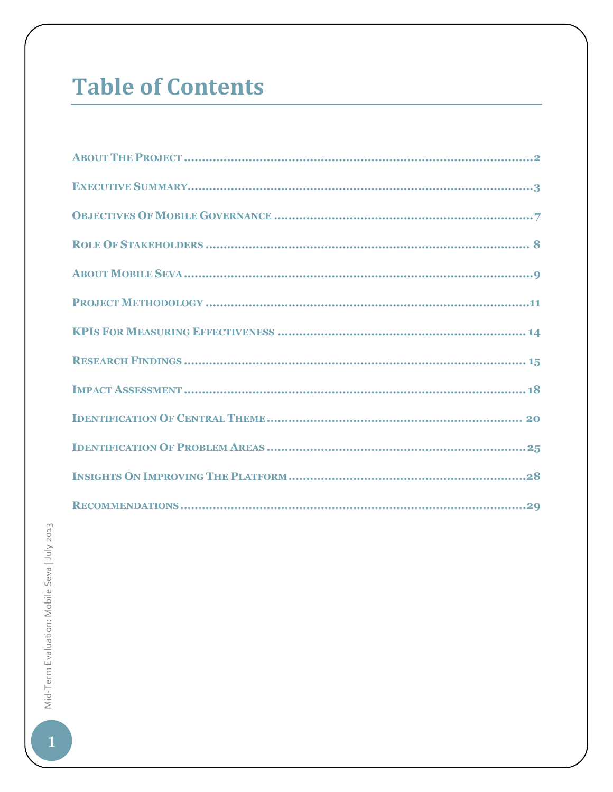### **Table of Contents**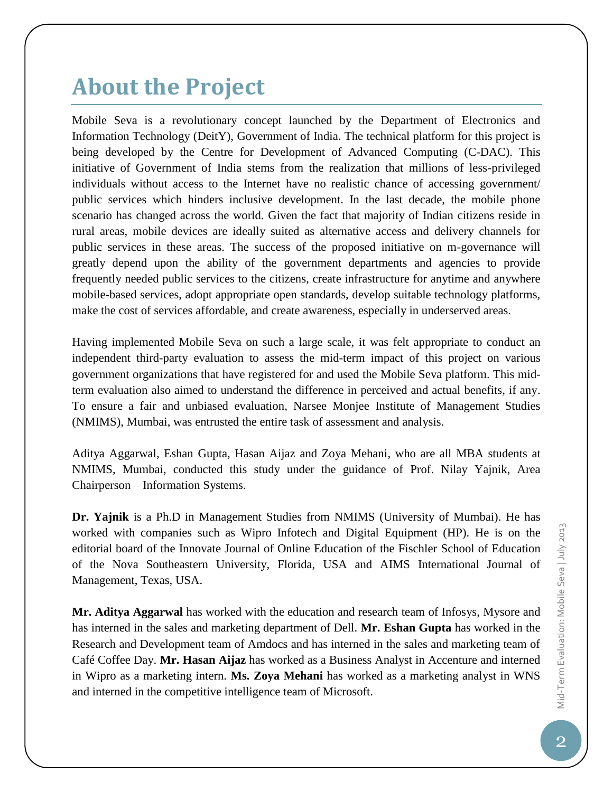### **About the Project**

Mobile Seva is a revolutionary concept launched by the Department of Electronics and Information Technology (DeitY), Government of India. The technical platform for this project is being developed by the Centre for Development of Advanced Computing (C-DAC). This initiative of Government of India stems from the realization that millions of less-privileged individuals without access to the Internet have no realistic chance of accessing government/ public services which hinders inclusive development. In the last decade, the mobile phone scenario has changed across the world. Given the fact that majority of Indian citizens reside in rural areas, mobile devices are ideally suited as alternative access and delivery channels for public services in these areas. The success of the proposed initiative on m-governance will greatly depend upon the ability of the government departments and agencies to provide frequently needed public services to the citizens, create infrastructure for anytime and anywhere mobile-based services, adopt appropriate open standards, develop suitable technology platforms, make the cost of services affordable, and create awareness, especially in underserved areas.

Having implemented Mobile Seva on such a large scale, it was felt appropriate to conduct an independent third-party evaluation to assess the mid-term impact of this project on various government organizations that have registered for and used the Mobile Seva platform. This midterm evaluation also aimed to understand the difference in perceived and actual benefits, if any. To ensure a fair and unbiased evaluation, Narsee Monjee Institute of Management Studies (NMIMS), Mumbai, was entrusted the entire task of assessment and analysis.

Aditya Aggarwal, Eshan Gupta, Hasan Aijaz and Zoya Mehani, who are all MBA students at NMIMS, Mumbai, conducted this study under the guidance of Prof. Nilay Yajnik, Area Chairperson – Information Systems.

**Dr. Yajnik** is a Ph.D in Management Studies from NMIMS (University of Mumbai). He has worked with companies such as Wipro Infotech and Digital Equipment (HP). He is on the editorial board of the Innovate Journal of Online Education of the Fischler School of Education of the Nova Southeastern University, Florida, USA and AIMS International Journal of Management, Texas, USA.

**Mr. Aditya Aggarwal** has worked with the education and research team of Infosys, Mysore and has interned in the sales and marketing department of Dell. **Mr. Eshan Gupta** has worked in the Research and Development team of Amdocs and has interned in the sales and marketing team of Café Coffee Day. **Mr. Hasan Aijaz** has worked as a Business Analyst in Accenture and interned in Wipro as a marketing intern. **Ms. Zoya Mehani** has worked as a marketing analyst in WNS and interned in the competitive intelligence team of Microsoft.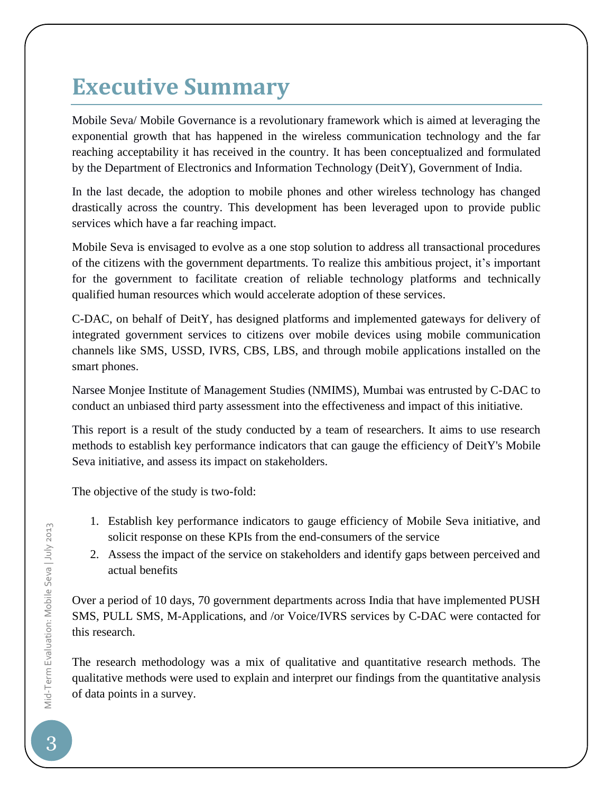### **Executive Summary**

Mobile Seva/ Mobile Governance is a revolutionary framework which is aimed at leveraging the exponential growth that has happened in the wireless communication technology and the far reaching acceptability it has received in the country. It has been conceptualized and formulated by the Department of Electronics and Information Technology (DeitY), Government of India.

In the last decade, the adoption to mobile phones and other wireless technology has changed drastically across the country. This development has been leveraged upon to provide public services which have a far reaching impact.

Mobile Seva is envisaged to evolve as a one stop solution to address all transactional procedures of the citizens with the government departments. To realize this ambitious project, it's important for the government to facilitate creation of reliable technology platforms and technically qualified human resources which would accelerate adoption of these services.

C-DAC, on behalf of DeitY, has designed platforms and implemented gateways for delivery of integrated government services to citizens over mobile devices using mobile communication channels like SMS, USSD, IVRS, CBS, LBS, and through mobile applications installed on the smart phones.

Narsee Monjee Institute of Management Studies (NMIMS), Mumbai was entrusted by C-DAC to conduct an unbiased third party assessment into the effectiveness and impact of this initiative.

This report is a result of the study conducted by a team of researchers. It aims to use research methods to establish key performance indicators that can gauge the efficiency of DeitY's Mobile Seva initiative, and assess its impact on stakeholders.

The objective of the study is two-fold:

- 1. Establish key performance indicators to gauge efficiency of Mobile Seva initiative, and solicit response on these KPIs from the end-consumers of the service
- 2. Assess the impact of the service on stakeholders and identify gaps between perceived and actual benefits

Over a period of 10 days, 70 government departments across India that have implemented PUSH SMS, PULL SMS, M-Applications, and /or Voice/IVRS services by C-DAC were contacted for this research.

The research methodology was a mix of qualitative and quantitative research methods. The qualitative methods were used to explain and interpret our findings from the quantitative analysis of data points in a survey.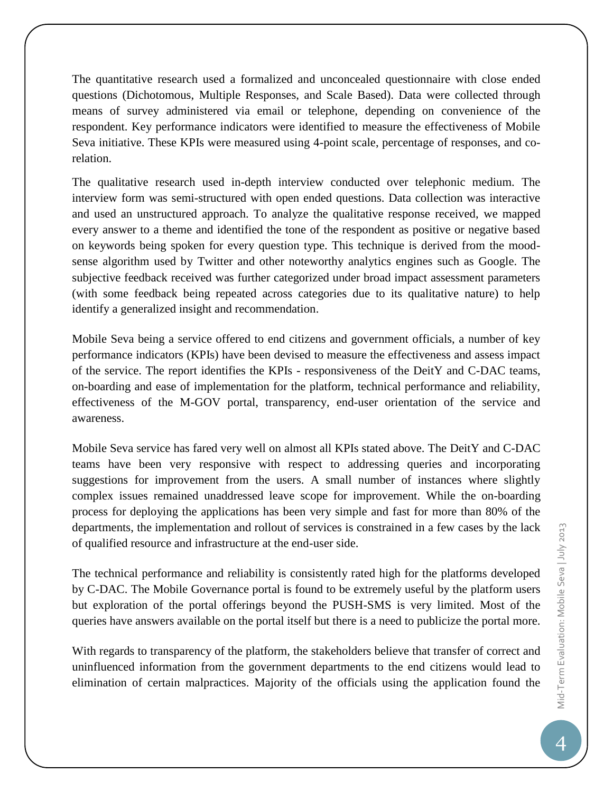The quantitative research used a formalized and unconcealed questionnaire with close ended questions (Dichotomous, Multiple Responses, and Scale Based). Data were collected through means of survey administered via email or telephone, depending on convenience of the respondent. Key performance indicators were identified to measure the effectiveness of Mobile Seva initiative. These KPIs were measured using 4-point scale, percentage of responses, and corelation.

The qualitative research used in-depth interview conducted over telephonic medium. The interview form was semi-structured with open ended questions. Data collection was interactive and used an unstructured approach. To analyze the qualitative response received, we mapped every answer to a theme and identified the tone of the respondent as positive or negative based on keywords being spoken for every question type. This technique is derived from the moodsense algorithm used by Twitter and other noteworthy analytics engines such as Google. The subjective feedback received was further categorized under broad impact assessment parameters (with some feedback being repeated across categories due to its qualitative nature) to help identify a generalized insight and recommendation.

Mobile Seva being a service offered to end citizens and government officials, a number of key performance indicators (KPIs) have been devised to measure the effectiveness and assess impact of the service. The report identifies the KPIs - responsiveness of the DeitY and C-DAC teams, on-boarding and ease of implementation for the platform, technical performance and reliability, effectiveness of the M-GOV portal, transparency, end-user orientation of the service and awareness.

Mobile Seva service has fared very well on almost all KPIs stated above. The DeitY and C-DAC teams have been very responsive with respect to addressing queries and incorporating suggestions for improvement from the users. A small number of instances where slightly complex issues remained unaddressed leave scope for improvement. While the on-boarding process for deploying the applications has been very simple and fast for more than 80% of the departments, the implementation and rollout of services is constrained in a few cases by the lack of qualified resource and infrastructure at the end-user side.

The technical performance and reliability is consistently rated high for the platforms developed by C-DAC. The Mobile Governance portal is found to be extremely useful by the platform users but exploration of the portal offerings beyond the PUSH-SMS is very limited. Most of the queries have answers available on the portal itself but there is a need to publicize the portal more.

With regards to transparency of the platform, the stakeholders believe that transfer of correct and uninfluenced information from the government departments to the end citizens would lead to elimination of certain malpractices. Majority of the officials using the application found the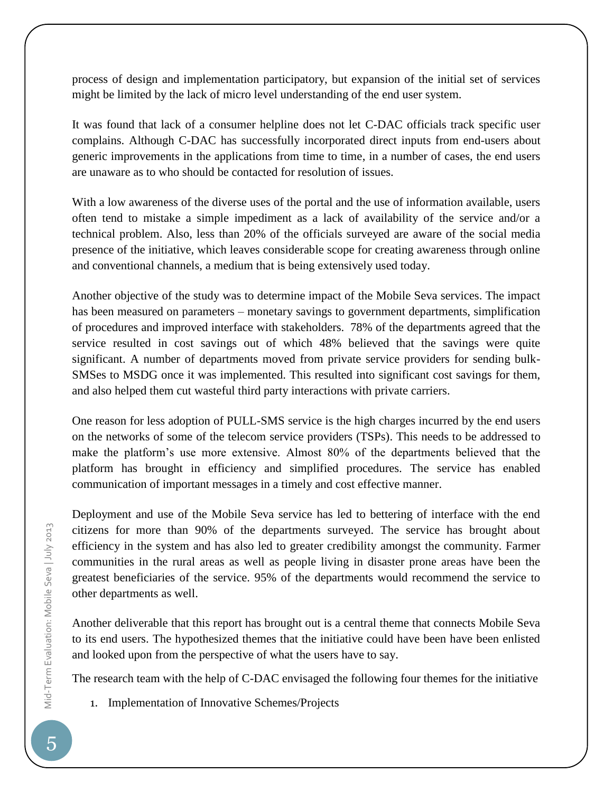process of design and implementation participatory, but expansion of the initial set of services might be limited by the lack of micro level understanding of the end user system.

It was found that lack of a consumer helpline does not let C-DAC officials track specific user complains. Although C-DAC has successfully incorporated direct inputs from end-users about generic improvements in the applications from time to time, in a number of cases, the end users are unaware as to who should be contacted for resolution of issues.

With a low awareness of the diverse uses of the portal and the use of information available, users often tend to mistake a simple impediment as a lack of availability of the service and/or a technical problem. Also, less than 20% of the officials surveyed are aware of the social media presence of the initiative, which leaves considerable scope for creating awareness through online and conventional channels, a medium that is being extensively used today.

Another objective of the study was to determine impact of the Mobile Seva services. The impact has been measured on parameters – monetary savings to government departments, simplification of procedures and improved interface with stakeholders. 78% of the departments agreed that the service resulted in cost savings out of which 48% believed that the savings were quite significant. A number of departments moved from private service providers for sending bulk-SMSes to MSDG once it was implemented. This resulted into significant cost savings for them, and also helped them cut wasteful third party interactions with private carriers.

One reason for less adoption of PULL-SMS service is the high charges incurred by the end users on the networks of some of the telecom service providers (TSPs). This needs to be addressed to make the platform's use more extensive. Almost 80% of the departments believed that the platform has brought in efficiency and simplified procedures. The service has enabled communication of important messages in a timely and cost effective manner.

Deployment and use of the Mobile Seva service has led to bettering of interface with the end citizens for more than 90% of the departments surveyed. The service has brought about efficiency in the system and has also led to greater credibility amongst the community. Farmer communities in the rural areas as well as people living in disaster prone areas have been the greatest beneficiaries of the service. 95% of the departments would recommend the service to other departments as well.

Another deliverable that this report has brought out is a central theme that connects Mobile Seva to its end users. The hypothesized themes that the initiative could have been have been enlisted and looked upon from the perspective of what the users have to say.

The research team with the help of C-DAC envisaged the following four themes for the initiative

1. Implementation of Innovative Schemes/Projects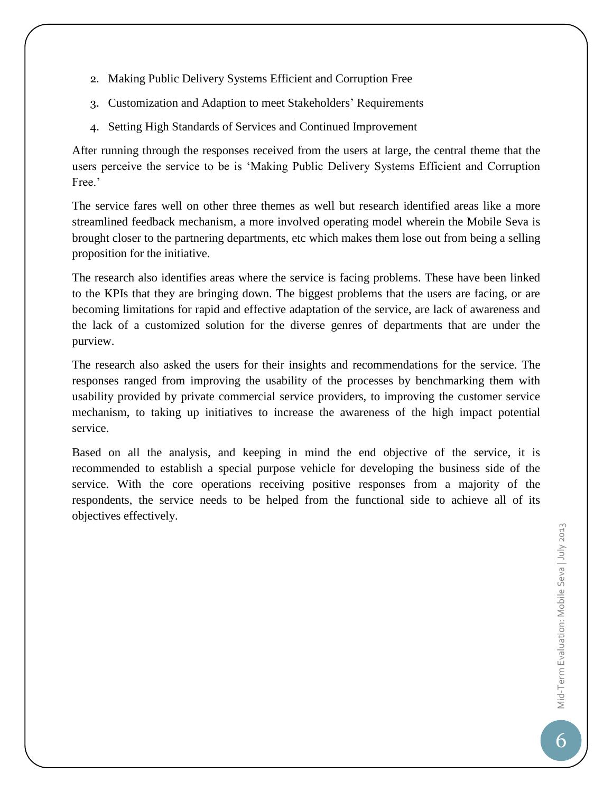- 2. Making Public Delivery Systems Efficient and Corruption Free
- 3. Customization and Adaption to meet Stakeholders' Requirements
- 4. Setting High Standards of Services and Continued Improvement

After running through the responses received from the users at large, the central theme that the users perceive the service to be is 'Making Public Delivery Systems Efficient and Corruption Free.'

The service fares well on other three themes as well but research identified areas like a more streamlined feedback mechanism, a more involved operating model wherein the Mobile Seva is brought closer to the partnering departments, etc which makes them lose out from being a selling proposition for the initiative.

The research also identifies areas where the service is facing problems. These have been linked to the KPIs that they are bringing down. The biggest problems that the users are facing, or are becoming limitations for rapid and effective adaptation of the service, are lack of awareness and the lack of a customized solution for the diverse genres of departments that are under the purview.

The research also asked the users for their insights and recommendations for the service. The responses ranged from improving the usability of the processes by benchmarking them with usability provided by private commercial service providers, to improving the customer service mechanism, to taking up initiatives to increase the awareness of the high impact potential service.

Based on all the analysis, and keeping in mind the end objective of the service, it is recommended to establish a special purpose vehicle for developing the business side of the service. With the core operations receiving positive responses from a majority of the respondents, the service needs to be helped from the functional side to achieve all of its objectives effectively.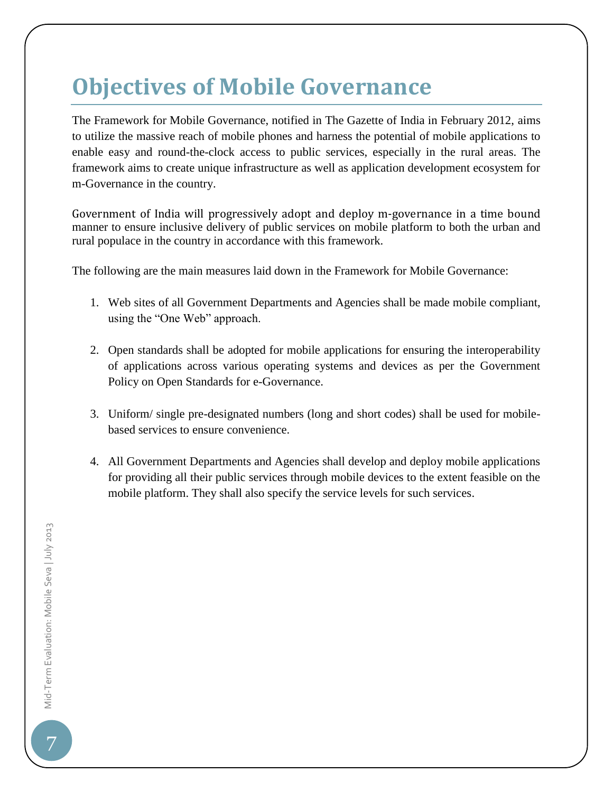### **Objectives of Mobile Governance**

The Framework for Mobile Governance, notified in The Gazette of India in February 2012, aims to utilize the massive reach of mobile phones and harness the potential of mobile applications to enable easy and round-the-clock access to public services, especially in the rural areas. The framework aims to create unique infrastructure as well as application development ecosystem for m-Governance in the country.

Government of India will progressively adopt and deploy m-governance in a time bound manner to ensure inclusive delivery of public services on mobile platform to both the urban and rural populace in the country in accordance with this framework.

The following are the main measures laid down in the Framework for Mobile Governance:

- 1. Web sites of all Government Departments and Agencies shall be made mobile compliant, using the "One Web" approach.
- 2. Open standards shall be adopted for mobile applications for ensuring the interoperability of applications across various operating systems and devices as per the Government Policy on Open Standards for e-Governance.
- 3. Uniform/ single pre-designated numbers (long and short codes) shall be used for mobilebased services to ensure convenience.
- 4. All Government Departments and Agencies shall develop and deploy mobile applications for providing all their public services through mobile devices to the extent feasible on the mobile platform. They shall also specify the service levels for such services.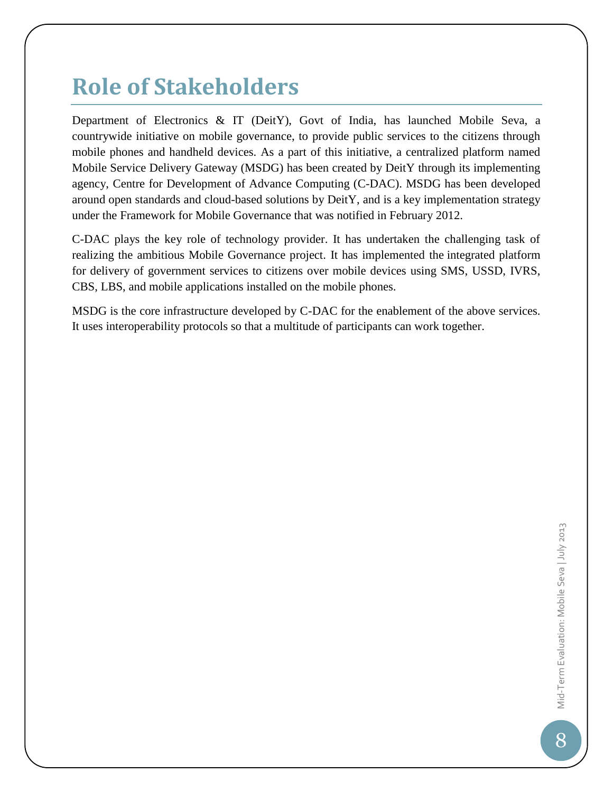### **Role of Stakeholders**

Department of Electronics & IT (DeitY), Govt of India, has launched Mobile Seva, a countrywide initiative on mobile governance, to provide public services to the citizens through mobile phones and handheld devices. As a part of this initiative, a centralized platform named Mobile Service Delivery Gateway (MSDG) has been created by DeitY through its implementing agency, Centre for Development of Advance Computing (C-DAC). MSDG has been developed around open standards and cloud-based solutions by DeitY, and is a key implementation strategy under the Framework for Mobile Governance that was notified in February 2012.

C-DAC plays the key role of technology provider. It has undertaken the challenging task of realizing the ambitious Mobile Governance project. It has implemented the integrated platform for delivery of government services to citizens over mobile devices using SMS, USSD, IVRS, CBS, LBS, and mobile applications installed on the mobile phones.

MSDG is the core infrastructure developed by C-DAC for the enablement of the above services. It uses interoperability protocols so that a multitude of participants can work together.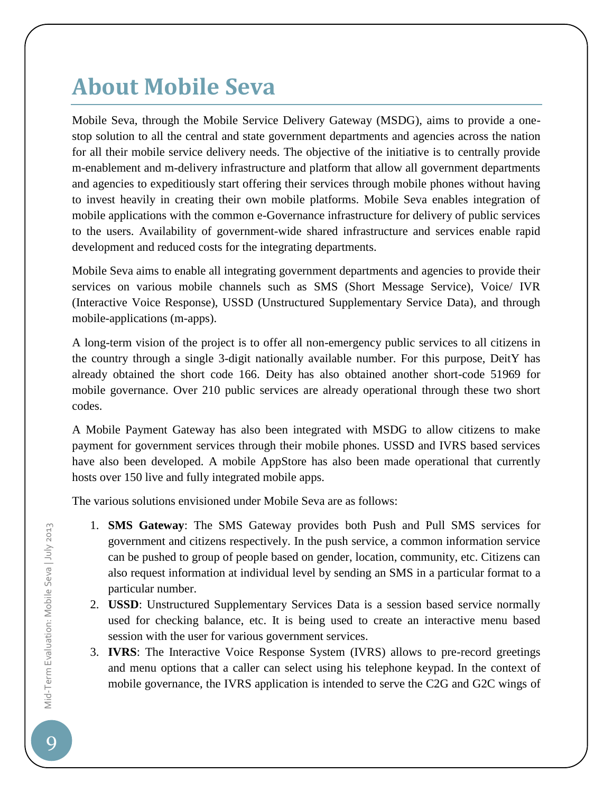### **About Mobile Seva**

Mobile Seva, through the Mobile Service Delivery Gateway (MSDG), aims to provide a onestop solution to all the central and state government departments and agencies across the nation for all their mobile service delivery needs. The objective of the initiative is to centrally provide m-enablement and m-delivery infrastructure and platform that allow all government departments and agencies to expeditiously start offering their services through mobile phones without having to invest heavily in creating their own mobile platforms. Mobile Seva enables integration of mobile applications with the common e-Governance infrastructure for delivery of public services to the users. Availability of government-wide shared infrastructure and services enable rapid development and reduced costs for the integrating departments.

Mobile Seva aims to enable all integrating government departments and agencies to provide their services on various mobile channels such as SMS (Short Message Service), Voice/ IVR (Interactive Voice Response), USSD (Unstructured Supplementary Service Data), and through mobile-applications (m-apps).

A long-term vision of the project is to offer all non-emergency public services to all citizens in the country through a single 3-digit nationally available number. For this purpose, DeitY has already obtained the short code 166. Deity has also obtained another short-code 51969 for mobile governance. Over 210 public services are already operational through these two short codes.

A Mobile Payment Gateway has also been integrated with MSDG to allow citizens to make payment for government services through their mobile phones. USSD and IVRS based services have also been developed. A mobile AppStore has also been made operational that currently hosts over 150 live and fully integrated mobile apps.

The various solutions envisioned under Mobile Seva are as follows:

- 1. **SMS Gateway**: The SMS Gateway provides both Push and Pull SMS services for government and citizens respectively. In the push service, a common information service can be pushed to group of people based on gender, location, community, etc. Citizens can also request information at individual level by sending an SMS in a particular format to a particular number.
- 2. **USSD**: Unstructured Supplementary Services Data is a session based service normally used for checking balance, etc. It is being used to create an interactive menu based session with the user for various government services.
- 3. **IVRS**: The Interactive Voice Response System (IVRS) allows to pre-record greetings and menu options that a caller can select using his telephone keypad. In the context of mobile governance, the IVRS application is intended to serve the C2G and G2C wings of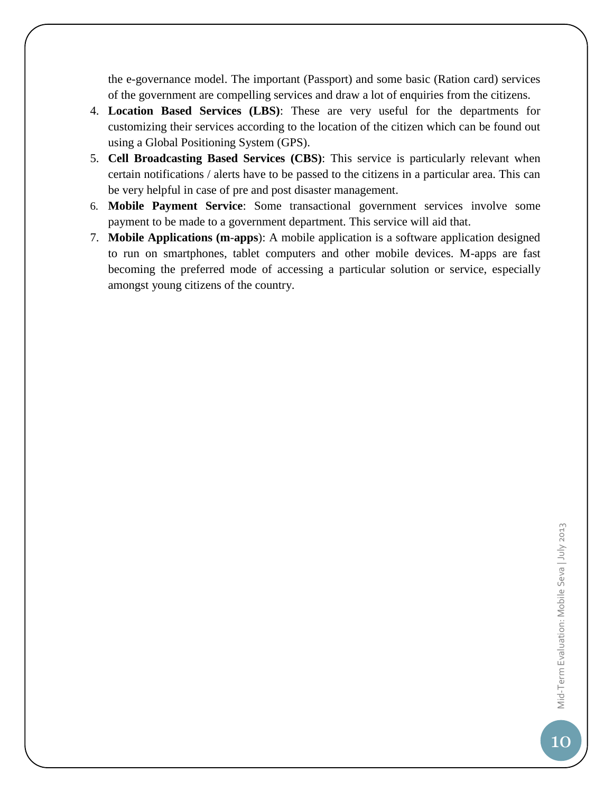the e-governance model. The important (Passport) and some basic (Ration card) services of the government are compelling services and draw a lot of enquiries from the citizens.

- 4. **Location Based Services (LBS)**: These are very useful for the departments for customizing their services according to the location of the citizen which can be found out using a Global Positioning System (GPS).
- 5. **Cell Broadcasting Based Services (CBS)**: This service is particularly relevant when certain notifications / alerts have to be passed to the citizens in a particular area. This can be very helpful in case of pre and post disaster management.
- 6. **Mobile Payment Service**: Some transactional government services involve some payment to be made to a government department. This service will aid that.
- 7. **Mobile Applications (m**-**apps**): A mobile application is a software application designed to run on smartphones, tablet computers and other mobile devices. M-apps are fast becoming the preferred mode of accessing a particular solution or service, especially amongst young citizens of the country.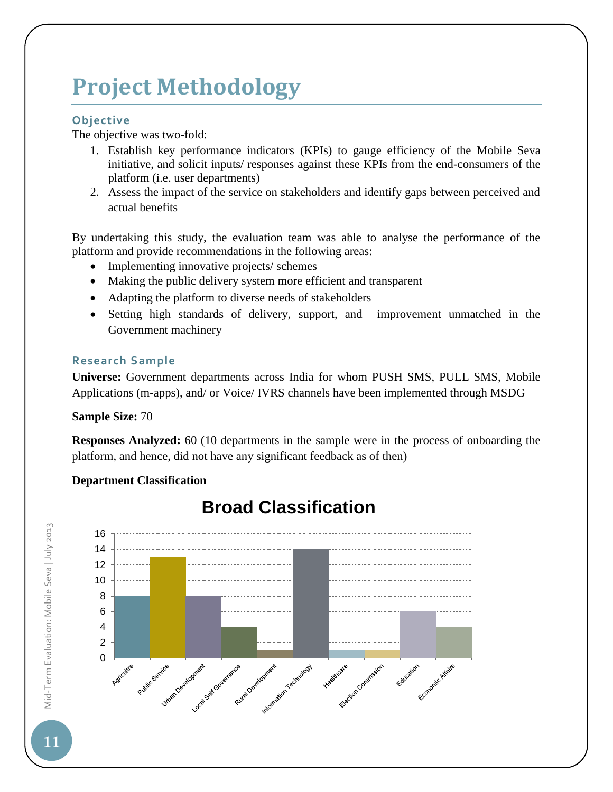### **Project Methodology**

#### **Objective**

The objective was two-fold:

- 1. Establish key performance indicators (KPIs) to gauge efficiency of the Mobile Seva initiative, and solicit inputs/ responses against these KPIs from the end-consumers of the platform (i.e. user departments)
- 2. Assess the impact of the service on stakeholders and identify gaps between perceived and actual benefits

By undertaking this study, the evaluation team was able to analyse the performance of the platform and provide recommendations in the following areas:

- Implementing innovative projects/ schemes
- Making the public delivery system more efficient and transparent
- Adapting the platform to diverse needs of stakeholders
- Setting high standards of delivery, support, and improvement unmatched in the Government machinery

#### **Research Sample**

**Universe:** Government departments across India for whom PUSH SMS, PULL SMS, Mobile Applications (m-apps), and/ or Voice/ IVRS channels have been implemented through MSDG

#### **Sample Size:** 70

**Responses Analyzed:** 60 (10 departments in the sample were in the process of onboarding the platform, and hence, did not have any significant feedback as of then)

#### **Department Classification**



### **Broad Classification**

Mid-Term Evaluation: Mobile Seva | July 2013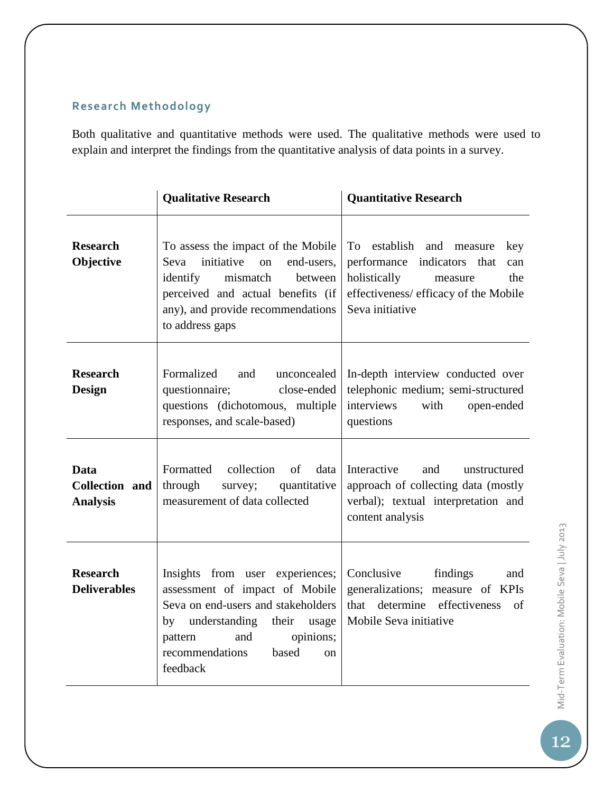### **Research Methodology**

Both qualitative and quantitative methods were used. The qualitative methods were used to explain and interpret the findings from the quantitative analysis of data points in a survey.

|                                                  | <b>Qualitative Research</b>                                                                                                                                                                                                           | <b>Quantitative Research</b>                                                                                                                                              |
|--------------------------------------------------|---------------------------------------------------------------------------------------------------------------------------------------------------------------------------------------------------------------------------------------|---------------------------------------------------------------------------------------------------------------------------------------------------------------------------|
| <b>Research</b><br>Objective                     | To assess the impact of the Mobile<br>initiative<br>Seva<br>end-users,<br><sub>on</sub><br>identify<br>mismatch<br>between<br>perceived and actual benefits (if<br>any), and provide recommendations<br>to address gaps               | establish and<br>To<br>measure<br>key<br>performance indicators that<br>can<br>holistically<br>the<br>measure<br>effectiveness/ efficacy of the Mobile<br>Seva initiative |
| <b>Research</b><br><b>Design</b>                 | Formalized<br>unconcealed<br>and<br>questionnaire;<br>close-ended<br>questions (dichotomous, multiple<br>responses, and scale-based)                                                                                                  | In-depth interview conducted over<br>telephonic medium; semi-structured<br>interviews<br>with<br>open-ended<br>questions                                                  |
| <b>Data</b><br>Collection and<br><b>Analysis</b> | Formatted<br>collection<br>of<br>data<br>through<br>quantitative<br>survey;<br>measurement of data collected                                                                                                                          | Interactive<br>and<br>unstructured<br>approach of collecting data (mostly<br>verbal); textual interpretation and<br>content analysis                                      |
| <b>Research</b><br><b>Deliverables</b>           | Insights from user experiences;<br>assessment of impact of Mobile<br>Seva on end-users and stakeholders<br>by understanding<br>their<br>usage<br>opinions;<br>and<br>pattern<br>recommendations<br>based<br><sub>on</sub><br>feedback | Conclusive<br>findings<br>and<br>generalizations; measure of KPIs<br>that determine<br>effectiveness<br>of<br>Mobile Seva initiative                                      |

Mid-Term Evaluation: Mobile Seva | July 2013 Mid-Term Evaluation: Mobile Seva | July 2013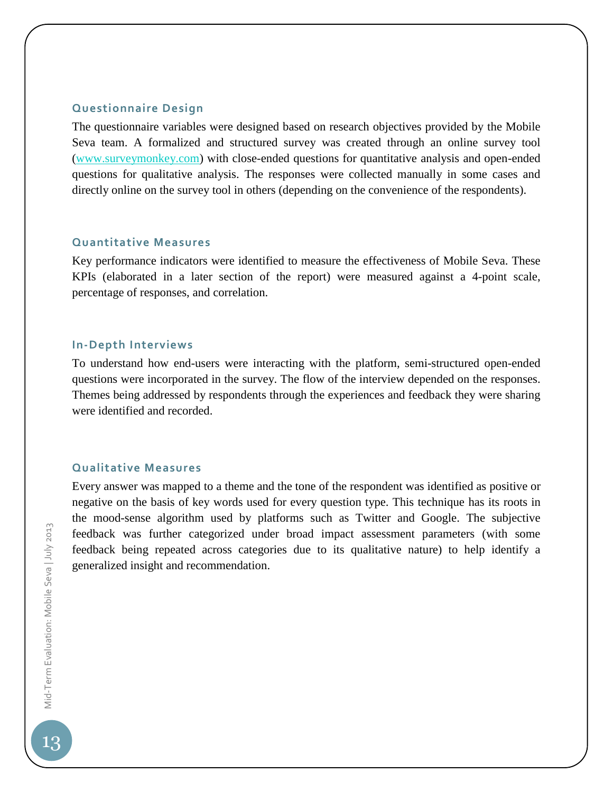#### **Questionnaire Design**

The questionnaire variables were designed based on research objectives provided by the Mobile Seva team. A formalized and structured survey was created through an online survey tool [\(www.surveymonkey.com\)](http://www.surveymonkey.com/) with close-ended questions for quantitative analysis and open-ended questions for qualitative analysis. The responses were collected manually in some cases and directly online on the survey tool in others (depending on the convenience of the respondents).

#### **Quantitative Measures**

Key performance indicators were identified to measure the effectiveness of Mobile Seva. These KPIs (elaborated in a later section of the report) were measured against a 4-point scale, percentage of responses, and correlation.

#### **In-Depth Interviews**

To understand how end-users were interacting with the platform, semi-structured open-ended questions were incorporated in the survey. The flow of the interview depended on the responses. Themes being addressed by respondents through the experiences and feedback they were sharing were identified and recorded.

#### **Qualitative Measures**

Every answer was mapped to a theme and the tone of the respondent was identified as positive or negative on the basis of key words used for every question type. This technique has its roots in the mood-sense algorithm used by platforms such as Twitter and Google. The subjective feedback was further categorized under broad impact assessment parameters (with some feedback being repeated across categories due to its qualitative nature) to help identify a generalized insight and recommendation.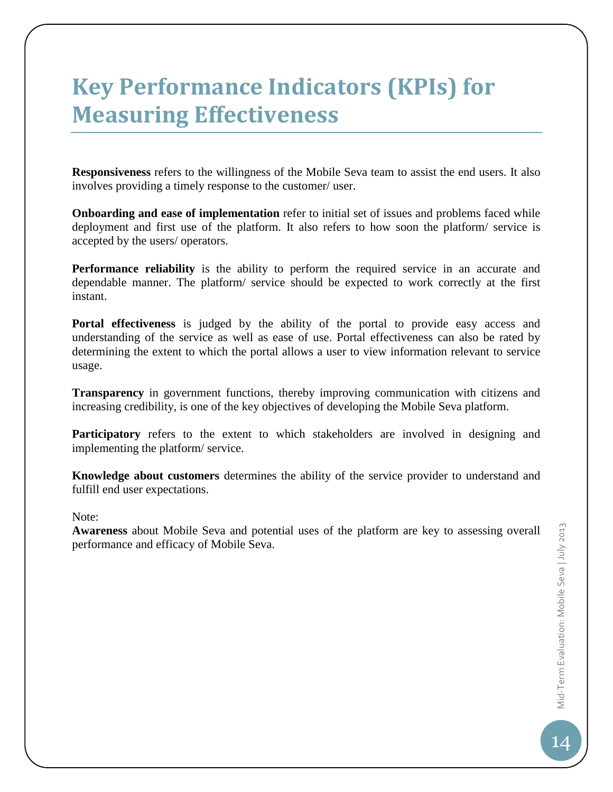### **Key Performance Indicators (KPIs) for Measuring Effectiveness**

**Responsiveness** refers to the willingness of the Mobile Seva team to assist the end users. It also involves providing a timely response to the customer/ user.

**Onboarding and ease of implementation** refer to initial set of issues and problems faced while deployment and first use of the platform. It also refers to how soon the platform/ service is accepted by the users/ operators.

**Performance reliability** is the ability to perform the required service in an accurate and dependable manner. The platform/ service should be expected to work correctly at the first instant.

**Portal effectiveness** is judged by the ability of the portal to provide easy access and understanding of the service as well as ease of use. Portal effectiveness can also be rated by determining the extent to which the portal allows a user to view information relevant to service usage.

**Transparency** in government functions, thereby improving communication with citizens and increasing credibility, is one of the key objectives of developing the Mobile Seva platform.

Participatory refers to the extent to which stakeholders are involved in designing and implementing the platform/ service.

**Knowledge about customers** determines the ability of the service provider to understand and fulfill end user expectations.

Note:

**Awareness** about Mobile Seva and potential uses of the platform are key to assessing overall performance and efficacy of Mobile Seva.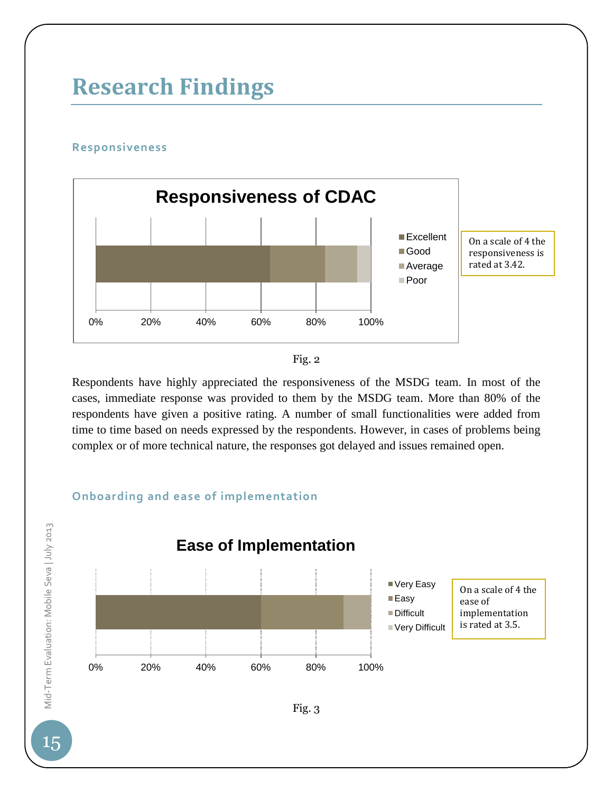### **Research Findings**

#### **Responsiveness**

0% 20% 40% 60% 80% 100% **Responsiveness of CDAC Excellent** Good **Average** Poor On a scale of 4 the responsiveness is rated at 3.42.



Respondents have highly appreciated the responsiveness of the MSDG team. In most of the cases, immediate response was provided to them by the MSDG team. More than 80% of the respondents have given a positive rating. A number of small functionalities were added from time to time based on needs expressed by the respondents. However, in cases of problems being complex or of more technical nature, the responses got delayed and issues remained open.

#### **Onboarding and ease of implementation**

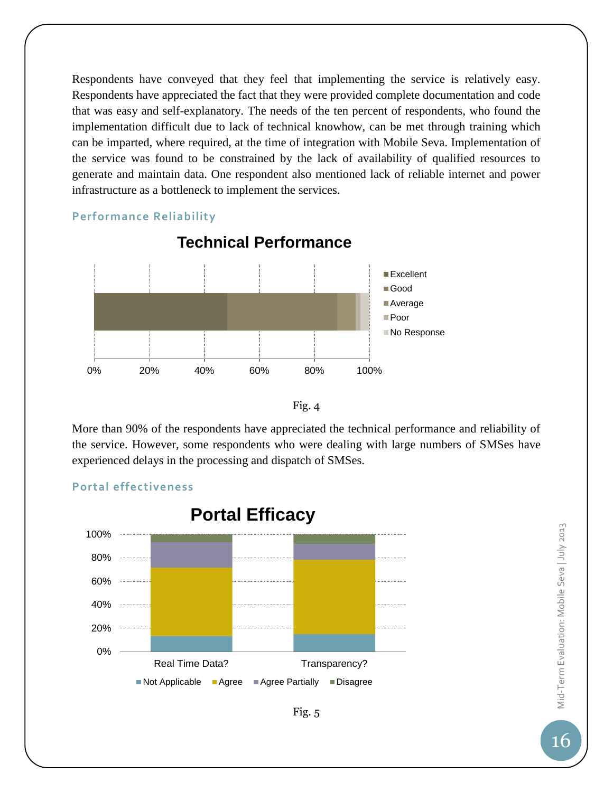Respondents have conveyed that they feel that implementing the service is relatively easy. Respondents have appreciated the fact that they were provided complete documentation and code that was easy and self-explanatory. The needs of the ten percent of respondents, who found the implementation difficult due to lack of technical knowhow, can be met through training which can be imparted, where required, at the time of integration with Mobile Seva. Implementation of the service was found to be constrained by the lack of availability of qualified resources to generate and maintain data. One respondent also mentioned lack of reliable internet and power infrastructure as a bottleneck to implement the services.

#### **Performance Reliability**



### **Technical Performance**



More than 90% of the respondents have appreciated the technical performance and reliability of the service. However, some respondents who were dealing with large numbers of SMSes have experienced delays in the processing and dispatch of SMSes.

### 0% 20% 40% 60% 80% 100% Real Time Data? Transparency? **Portal Efficacy** ■Not Applicable ■ Agree ■ Agree Partially ■ Disagree

#### **Portal effectiveness**



Fig. 5

Mid-Term Evaluation: Mobile Seva | July 2013 Mid-Term Evaluation: Mobile Seva | July 2013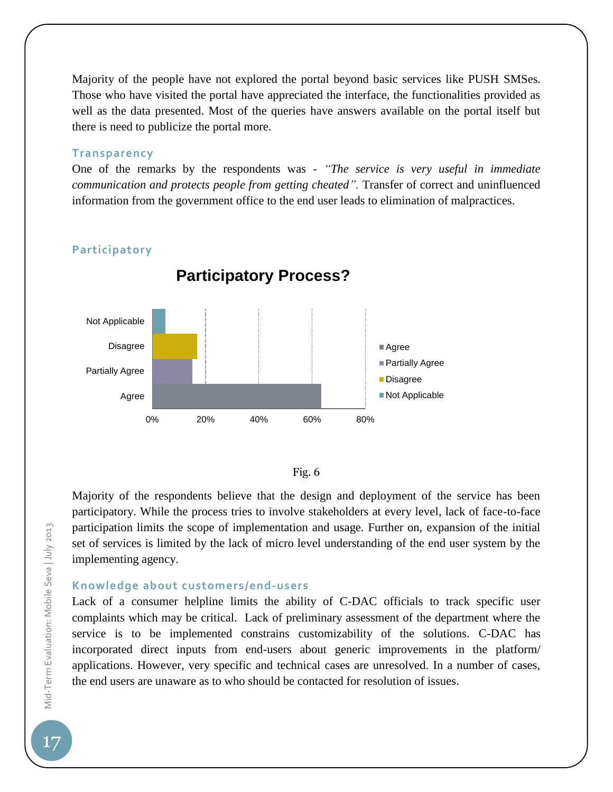Majority of the people have not explored the portal beyond basic services like PUSH SMSes. Those who have visited the portal have appreciated the interface, the functionalities provided as well as the data presented. Most of the queries have answers available on the portal itself but there is need to publicize the portal more.

#### **Transparency**

One of the remarks by the respondents was - *"The service is very useful in immediate communication and protects people from getting cheated".* Transfer of correct and uninfluenced information from the government office to the end user leads to elimination of malpractices.



**Participatory Process?**

#### **Participatory**



Majority of the respondents believe that the design and deployment of the service has been participatory. While the process tries to involve stakeholders at every level, lack of face-to-face participation limits the scope of implementation and usage. Further on, expansion of the initial set of services is limited by the lack of micro level understanding of the end user system by the implementing agency.

#### **Knowledge about customers/end-users**

Lack of a consumer helpline limits the ability of C-DAC officials to track specific user complaints which may be critical. Lack of preliminary assessment of the department where the service is to be implemented constrains customizability of the solutions. C-DAC has incorporated direct inputs from end-users about generic improvements in the platform/ applications. However, very specific and technical cases are unresolved. In a number of cases, the end users are unaware as to who should be contacted for resolution of issues.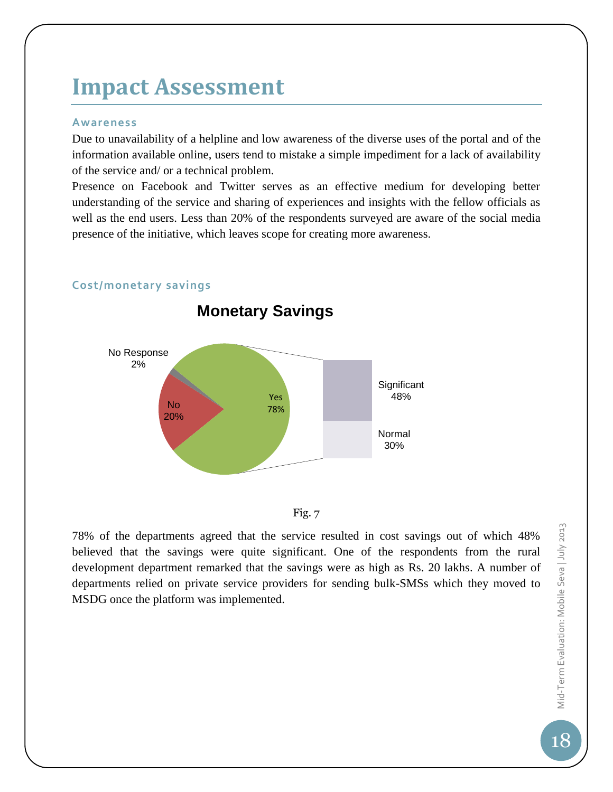### **Impact Assessment**

#### **Awareness**

Due to unavailability of a helpline and low awareness of the diverse uses of the portal and of the information available online, users tend to mistake a simple impediment for a lack of availability of the service and/ or a technical problem.

Presence on Facebook and Twitter serves as an effective medium for developing better understanding of the service and sharing of experiences and insights with the fellow officials as well as the end users. Less than 20% of the respondents surveyed are aware of the social media presence of the initiative, which leaves scope for creating more awareness.



#### **Cost/monetary savings**



78% of the departments agreed that the service resulted in cost savings out of which 48% believed that the savings were quite significant. One of the respondents from the rural development department remarked that the savings were as high as Rs. 20 lakhs. A number of departments relied on private service providers for sending bulk-SMSs which they moved to MSDG once the platform was implemented.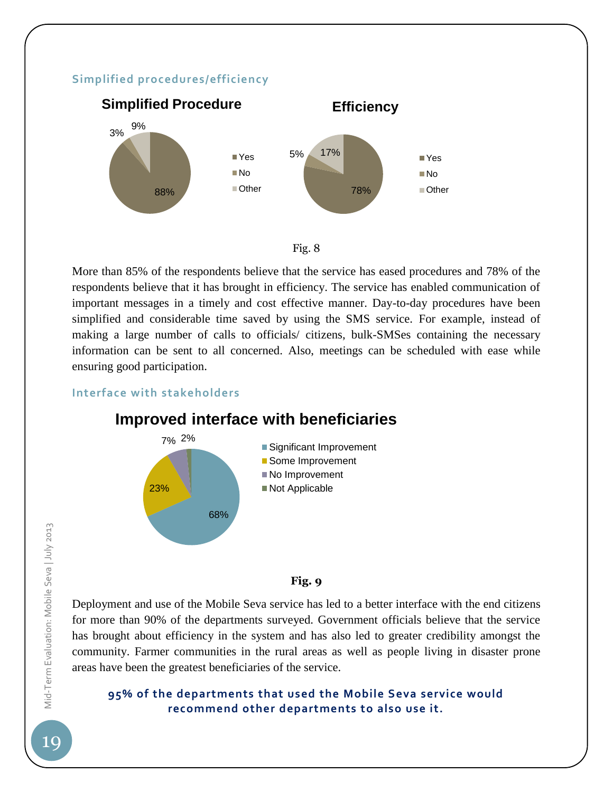#### **Simplified procedures/efficiency**





More than 85% of the respondents believe that the service has eased procedures and 78% of the respondents believe that it has brought in efficiency. The service has enabled communication of important messages in a timely and cost effective manner. Day-to-day procedures have been simplified and considerable time saved by using the SMS service. For example, instead of making a large number of calls to officials/ citizens, bulk-SMSes containing the necessary information can be sent to all concerned. Also, meetings can be scheduled with ease while ensuring good participation.

**Interface with stakeholders**



### **Improved interface with beneficiaries**

#### **Fig. 9**

Deployment and use of the Mobile Seva service has led to a better interface with the end citizens for more than 90% of the departments surveyed. Government officials believe that the service has brought about efficiency in the system and has also led to greater credibility amongst the community. Farmer communities in the rural areas as well as people living in disaster prone areas have been the greatest beneficiaries of the service.

#### **95% of the departments that used the Mobile Seva service would recommend other departments to also use it.**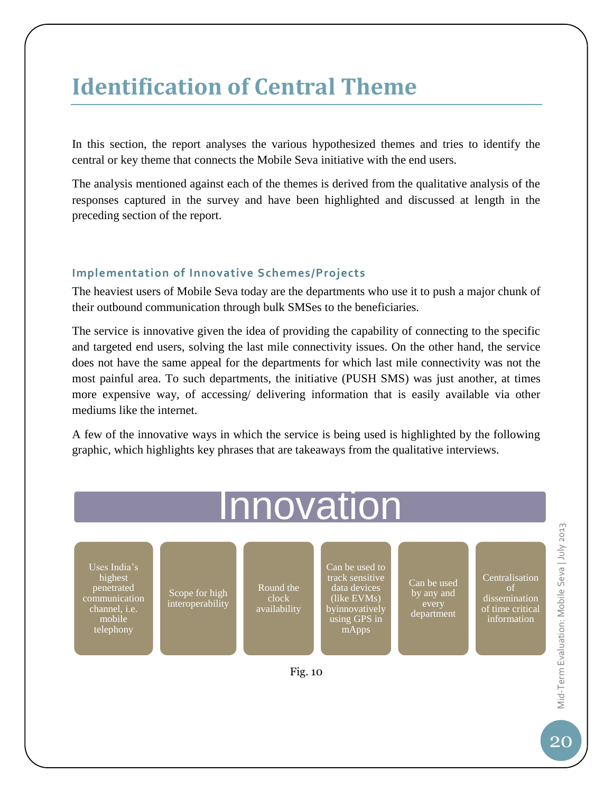### **Identification of Central Theme**

In this section, the report analyses the various hypothesized themes and tries to identify the central or key theme that connects the Mobile Seva initiative with the end users.

The analysis mentioned against each of the themes is derived from the qualitative analysis of the responses captured in the survey and have been highlighted and discussed at length in the preceding section of the report.

#### **Implementation of Innovative Schemes/Projects**

The heaviest users of Mobile Seva today are the departments who use it to push a major chunk of their outbound communication through bulk SMSes to the beneficiaries.

The service is innovative given the idea of providing the capability of connecting to the specific and targeted end users, solving the last mile connectivity issues. On the other hand, the service does not have the same appeal for the departments for which last mile connectivity was not the most painful area. To such departments, the initiative (PUSH SMS) was just another, at times more expensive way, of accessing/ delivering information that is easily available via other mediums like the internet.

A few of the innovative ways in which the service is being used is highlighted by the following graphic, which highlights key phrases that are takeaways from the qualitative interviews.

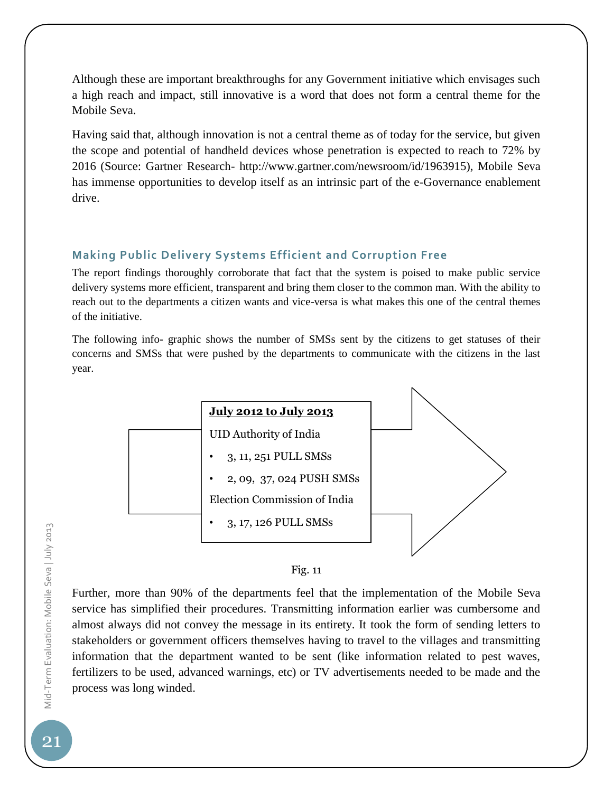Although these are important breakthroughs for any Government initiative which envisages such a high reach and impact, still innovative is a word that does not form a central theme for the Mobile Seva.

Having said that, although innovation is not a central theme as of today for the service, but given the scope and potential of handheld devices whose penetration is expected to reach to 72% by 2016 (Source: Gartner Research- http://www.gartner.com/newsroom/id/1963915), Mobile Seva has immense opportunities to develop itself as an intrinsic part of the e-Governance enablement drive.

#### **Making Public Delivery Systems Efficient and Corruption Free**

The report findings thoroughly corroborate that fact that the system is poised to make public service delivery systems more efficient, transparent and bring them closer to the common man. With the ability to reach out to the departments a citizen wants and vice-versa is what makes this one of the central themes of the initiative.

The following info- graphic shows the number of SMSs sent by the citizens to get statuses of their concerns and SMSs that were pushed by the departments to communicate with the citizens in the last year.





Further, more than 90% of the departments feel that the implementation of the Mobile Seva service has simplified their procedures. Transmitting information earlier was cumbersome and almost always did not convey the message in its entirety. It took the form of sending letters to stakeholders or government officers themselves having to travel to the villages and transmitting information that the department wanted to be sent (like information related to pest waves, fertilizers to be used, advanced warnings, etc) or TV advertisements needed to be made and the process was long winded.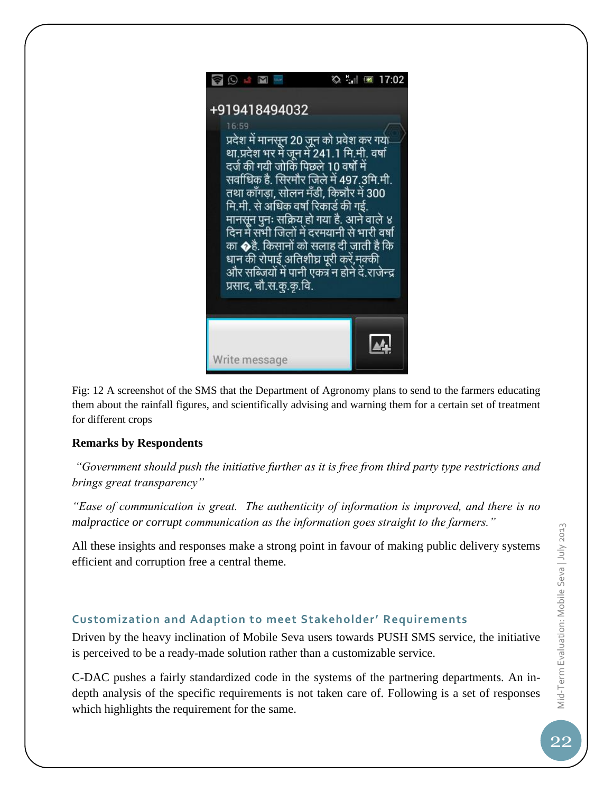

Fig: 12 A screenshot of the SMS that the Department of Agronomy plans to send to the farmers educating them about the rainfall figures, and scientifically advising and warning them for a certain set of treatment for different crops

#### **Remarks by Respondents**

*"Government should push the initiative further as it is free from third party type restrictions and brings great transparency"*

*"Ease of communication is great. The authenticity of information is improved, and there is no malpractice or corrupt communication as the information goes straight to the farmers."*

All these insights and responses make a strong point in favour of making public delivery systems efficient and corruption free a central theme.

#### **Customization and Adaption to meet Stakeholder' Requirements**

Driven by the heavy inclination of Mobile Seva users towards PUSH SMS service, the initiative is perceived to be a ready-made solution rather than a customizable service.

C-DAC pushes a fairly standardized code in the systems of the partnering departments. An indepth analysis of the specific requirements is not taken care of. Following is a set of responses which highlights the requirement for the same.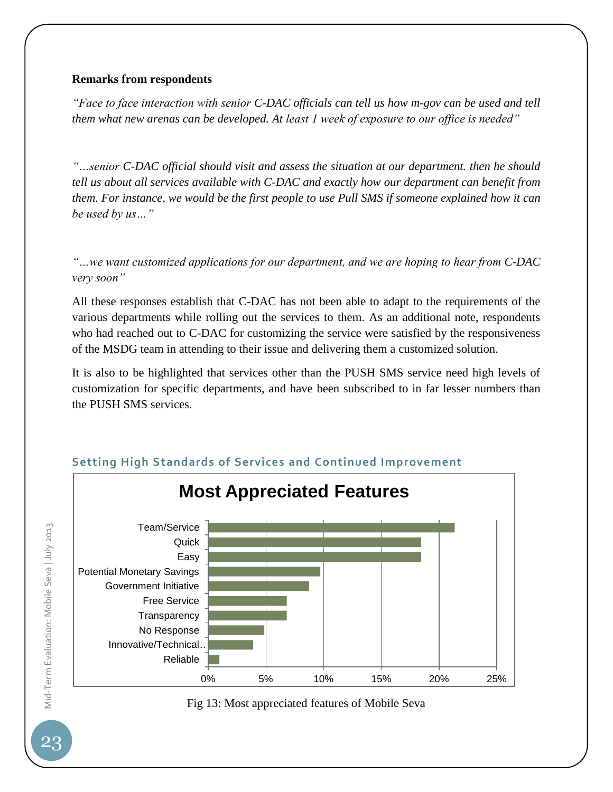#### **Remarks from respondents**

*"Face to face interaction with senior C-DAC officials can tell us how m-gov can be used and tell them what new arenas can be developed. At least 1 week of exposure to our office is needed"*

*"…senior C-DAC official should visit and assess the situation at our department. then he should tell us about all services available with C-DAC and exactly how our department can benefit from them. For instance, we would be the first people to use Pull SMS if someone explained how it can be used by us…"*

*"…we want customized applications for our department, and we are hoping to hear from C-DAC very soon"*

All these responses establish that C-DAC has not been able to adapt to the requirements of the various departments while rolling out the services to them. As an additional note, respondents who had reached out to C-DAC for customizing the service were satisfied by the responsiveness of the MSDG team in attending to their issue and delivering them a customized solution.

It is also to be highlighted that services other than the PUSH SMS service need high levels of customization for specific departments, and have been subscribed to in far lesser numbers than the PUSH SMS services.



#### **Setting High Standards of Services and Continued Improvement**



Mid-Term Evaluation: Mobile Seva | July 2013 Mid-Term Evaluation: Mobile Seva | July 2013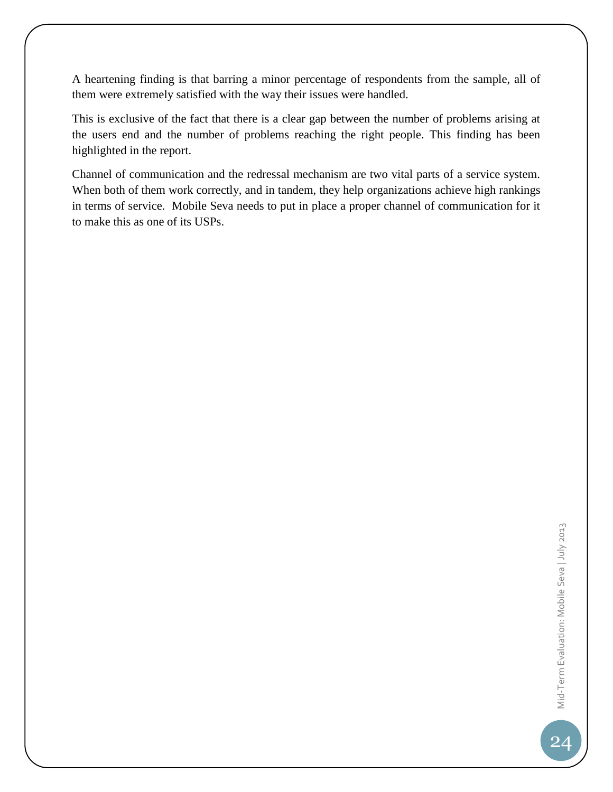A heartening finding is that barring a minor percentage of respondents from the sample, all of them were extremely satisfied with the way their issues were handled.

This is exclusive of the fact that there is a clear gap between the number of problems arising at the users end and the number of problems reaching the right people. This finding has been highlighted in the report.

Channel of communication and the redressal mechanism are two vital parts of a service system. When both of them work correctly, and in tandem, they help organizations achieve high rankings in terms of service. Mobile Seva needs to put in place a proper channel of communication for it to make this as one of its USPs.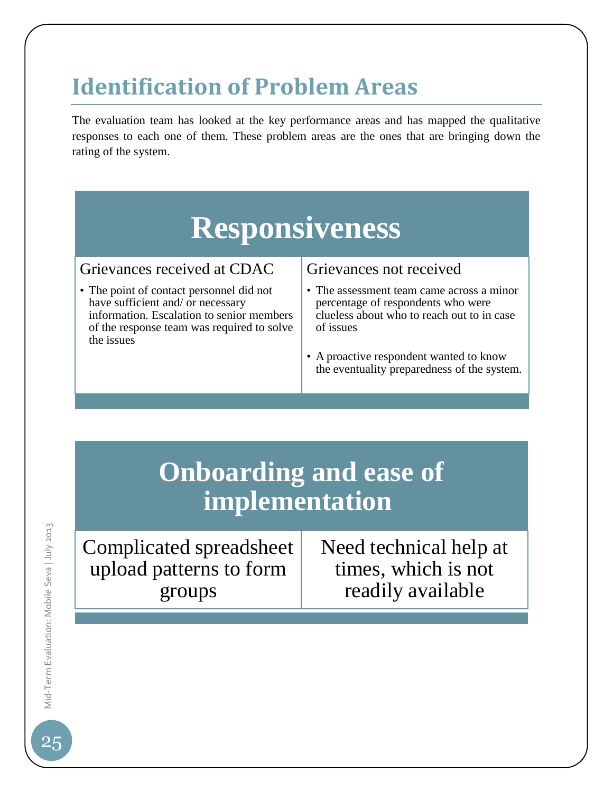### **Identification of Problem Areas**

The evaluation team has looked at the key performance areas and has mapped the qualitative responses to each one of them. These problem areas are the ones that are bringing down the rating of the system.

# **Responsiveness**

#### Grievances received at CDAC

• The point of contact personnel did not have sufficient and/ or necessary information. Escalation to senior members of the response team was required to solve the issues

#### Grievances not received

• The assessment team came across a minor percentage of respondents who were clueless about who to reach out to in case of issues

• A proactive respondent wanted to know the eventuality preparedness of the system.

### **Onboarding and ease of implementation**

Complicated spreadsheet upload patterns to form groups

Need technical help at times, which is not readily available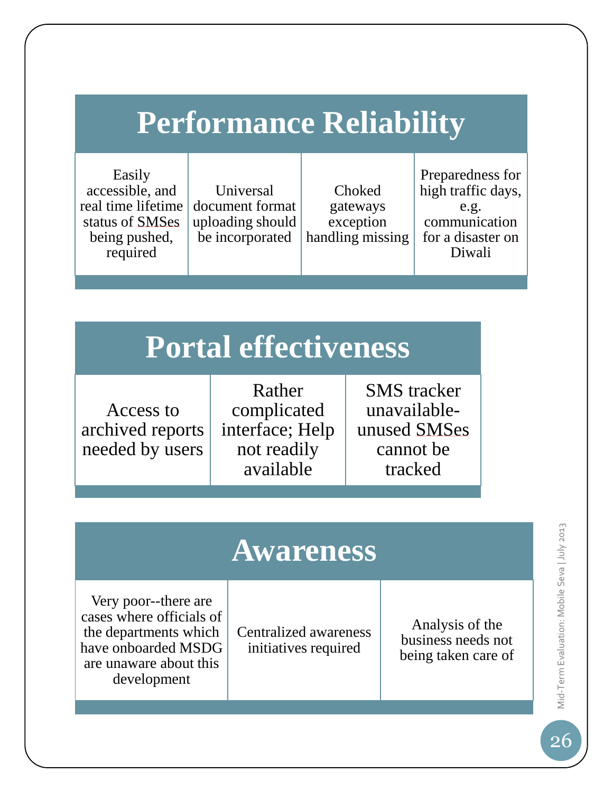# **Performance Reliability**

Easily accessible, and real time lifetime status of SMSes being pushed, required

Universal document format uploading should be incorporated

Choked gateways exception handling missing

Preparedness for high traffic days, e.g. communication for a disaster on Diwali

# **Portal effectiveness**

Access to archived reports needed by users

Rather complicated interface; Help not readily available

SMS tracker unavailableunused SMSes cannot be tracked

# **Awareness**

Very poor--there are cases where officials of the departments which have onboarded MSDG are unaware about this development

Centralized awareness initiatives required

Analysis of the business needs not being taken care of Mid-Term Evaluation: Mobile Seva | July 2013 Mid-Term Evaluation: Mobile Seva | July 2013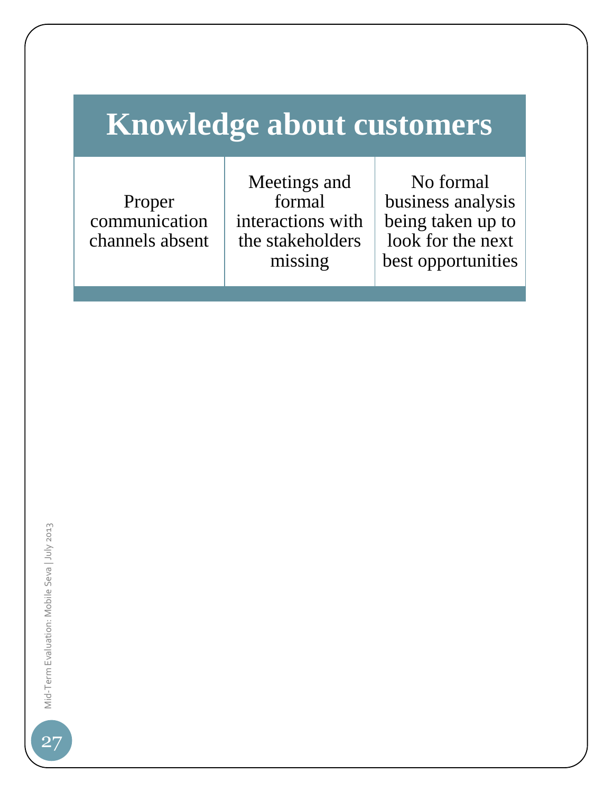# **Knowledge about customers**

Proper communication channels absent

Meetings and formal interactions with the stakeholders missing

No formal business analysis being taken up to look for the next best opportunities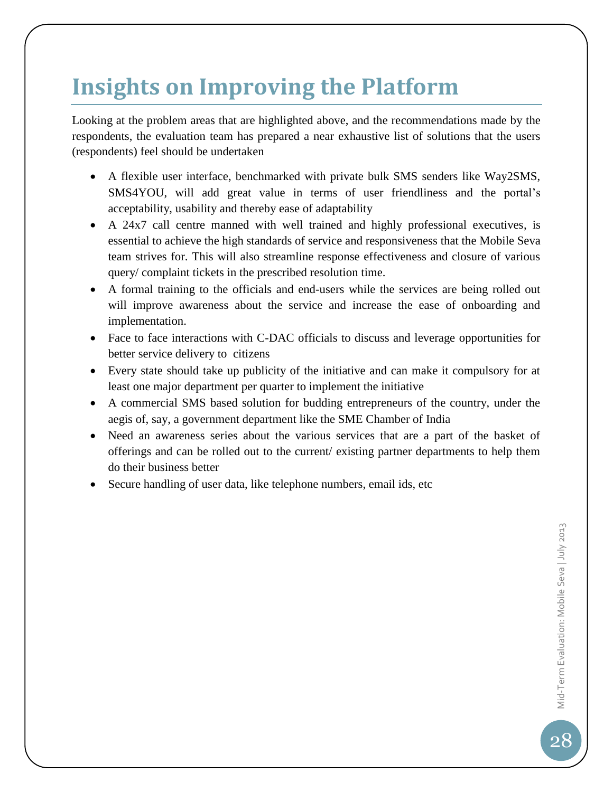### **Insights on Improving the Platform**

Looking at the problem areas that are highlighted above, and the recommendations made by the respondents, the evaluation team has prepared a near exhaustive list of solutions that the users (respondents) feel should be undertaken

- A flexible user interface, benchmarked with private bulk SMS senders like Way2SMS, SMS4YOU, will add great value in terms of user friendliness and the portal's acceptability, usability and thereby ease of adaptability
- A 24x7 call centre manned with well trained and highly professional executives, is essential to achieve the high standards of service and responsiveness that the Mobile Seva team strives for. This will also streamline response effectiveness and closure of various query/ complaint tickets in the prescribed resolution time.
- A formal training to the officials and end-users while the services are being rolled out will improve awareness about the service and increase the ease of onboarding and implementation.
- Face to face interactions with C-DAC officials to discuss and leverage opportunities for better service delivery to citizens
- Every state should take up publicity of the initiative and can make it compulsory for at least one major department per quarter to implement the initiative
- A commercial SMS based solution for budding entrepreneurs of the country, under the aegis of, say, a government department like the SME Chamber of India
- Need an awareness series about the various services that are a part of the basket of offerings and can be rolled out to the current/ existing partner departments to help them do their business better
- Secure handling of user data, like telephone numbers, email ids, etc